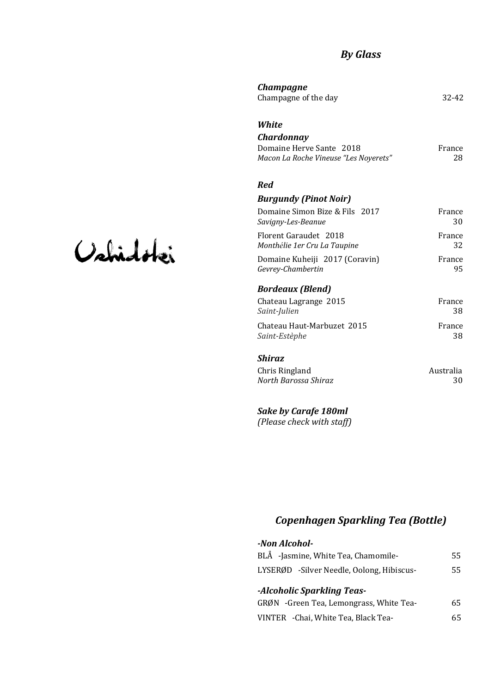# *By Glass*

| Champagne                             |           |
|---------------------------------------|-----------|
| Champagne of the day                  | $32 - 42$ |
| <b>White</b>                          |           |
| Chardonnay                            |           |
| Domaine Herve Sante 2018              | France    |
| Macon La Roche Vineuse "Les Noverets" | 28        |
| Red                                   |           |
| <b>Burgundy (Pinot Noir)</b>          |           |
| Domaine Simon Bize & Fils 2017        | France    |
| Savigny-Les-Beanue                    | 30        |
| Florent Garaudet 2018                 | France    |
| Monthélie 1er Cru La Taupine          | 32        |
| Domaine Kuheiji 2017 (Coravin)        | France    |
| Gevrey-Chambertin                     | 95        |
| <b>Bordeaux (Blend)</b>               |           |
| Chateau Lagrange 2015                 | France    |
| Saint-Julien                          | 38        |
| Chateau Haut-Marbuzet 2015            | France    |
| Saint-Estèphe                         | 38        |
| Shiraz                                |           |
| Chris Ringland                        | Australia |

#### *North Barossa Shiraz* 30

*Sake by Carafe 180ml (Please check with staff)*

# *Copenhagen Sparkling Tea (Bottle)*

| -Non Alcohol-                             |    |
|-------------------------------------------|----|
| BLÅ -Jasmine, White Tea, Chamomile-       | 55 |
| LYSERØD -Silver Needle, Oolong, Hibiscus- | 55 |
| -Alcoholic Sparkling Teas-                |    |
| GRØN -Green Tea, Lemongrass, White Tea-   | 65 |
| VINTER - Chai, White Tea, Black Tea-      | 65 |

# Vahidotei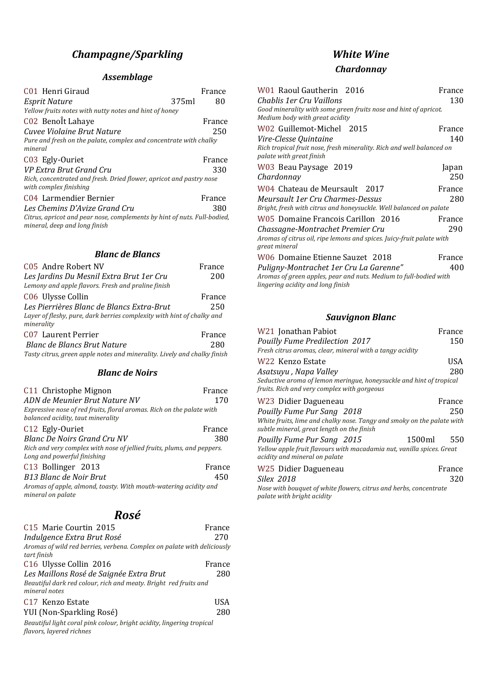# *Champagne/Sparkling*

## *Assemblage*

| France                                                                   |
|--------------------------------------------------------------------------|
| 80                                                                       |
|                                                                          |
| France                                                                   |
| 250                                                                      |
| Pure and fresh on the palate, complex and concentrate with chalky        |
| France                                                                   |
| 330                                                                      |
| Rich, concentrated and fresh. Dried flower, apricot and pastry nose      |
| France                                                                   |
| 380                                                                      |
| Citrus, apricot and pear nose, complements by hint of nuts. Full-bodied, |
|                                                                          |

## *Blanc de Blancs*

| France                                                                   |
|--------------------------------------------------------------------------|
| 200                                                                      |
|                                                                          |
| France                                                                   |
| 250                                                                      |
| Layer of fleshy, pure, dark berries complexity with hint of chalky and   |
| France                                                                   |
| 280                                                                      |
| Tasty citrus, green apple notes and minerality. Lively and chalky finish |
|                                                                          |

#### *Blanc de Noirs*

| C11 Christophe Mignon                                                                                      | France |
|------------------------------------------------------------------------------------------------------------|--------|
| ADN de Meunier Brut Nature NV                                                                              | 170    |
| Expressive nose of red fruits, floral aromas. Rich on the palate with<br>balanced acidity, taut minerality |        |
| C12 Egly-Ouriet                                                                                            | France |
| Blanc De Noirs Grand Cru NV                                                                                | 380    |
| Rich and very complex with nose of jellied fruits, plums, and peppers.<br>Long and powerful finishing      |        |
| C13 Bollinger 2013                                                                                         | France |
| <b>B13 Blanc de Noir Brut</b>                                                                              | 450    |
| Aromas of apple, almond, toasty. With mouth-watering acidity and<br>mineral on palate                      |        |

# *Rosé*

| C15 Marie Courtin 2015                                                                            | France |
|---------------------------------------------------------------------------------------------------|--------|
| Indulgence Extra Brut Rosé                                                                        | 270    |
| Aromas of wild red berries, verbena. Complex on palate with deliciously                           |        |
| tart finish                                                                                       |        |
| C16 Ulysse Collin 2016                                                                            | France |
| Les Maillons Rosé de Saignée Extra Brut                                                           | 280    |
| Beautiful dark red colour, rich and meaty. Bright red fruits and<br>mineral notes                 |        |
| C <sub>17</sub> Kenzo Estate                                                                      | USA    |
| YUI (Non-Sparkling Rosé)                                                                          | 280    |
| Beautiful light coral pink colour, bright acidity, lingering tropical<br>flavors, layered richnes |        |

# *White Wine*

## *Chardonnay*

| W01 Raoul Gautherin 2016                                                                               | France |
|--------------------------------------------------------------------------------------------------------|--------|
| Chablis 1er Cru Vaillons                                                                               | 130    |
| Good minerality with some green fruits nose and hint of apricot.<br>Medium body with great acidity     |        |
| W02 Guillemot-Michel 2015                                                                              | France |
| Vire-Clesse Quintaine                                                                                  | 140    |
| Rich tropical fruit nose, fresh minerality. Rich and well balanced on<br>palate with great finish      |        |
| W03 Beau Paysage 2019                                                                                  | Japan  |
| Chardonnay                                                                                             | 250    |
| W04 Chateau de Meursault 2017                                                                          | France |
| Meursault 1er Cru Charmes-Dessus                                                                       | 280    |
| Bright, fresh with citrus and honeysuckle. Well balanced on palate                                     |        |
| W05 Domaine Francois Carillon 2016                                                                     | France |
| Chassagne-Montrachet Premier Cru                                                                       | 290    |
| Aromas of citrus oil, ripe lemons and spices. Juicy-fruit palate with<br>great mineral                 |        |
| W06 Domaine Etienne Sauzet 2018                                                                        | France |
| Puligny-Montrachet 1er Cru La Garenne"                                                                 | 400    |
| Aromas of green apples, pear and nuts. Medium to full-bodied with<br>lingering acidity and long finish |        |
|                                                                                                        |        |

#### *Sauvignon Blanc*

| W21 Jonathan Pabiot<br>Pouilly Fume Predilection 2017<br>Fresh citrus aromas, clear, mineral with a tangy acidity    | France<br>150 |
|----------------------------------------------------------------------------------------------------------------------|---------------|
| W22 Kenzo Estate                                                                                                     | USA           |
| Asatsuyu, Napa Valley                                                                                                | 280           |
| Seductive aroma of lemon meringue, honeysuckle and hint of tropical<br>fruits. Rich and very complex with gorgeous   |               |
| W23 Didier Dagueneau                                                                                                 | France        |
| Pouilly Fume Pur Sang 2018                                                                                           | 250           |
| White fruits, lime and chalky nose. Tangy and smoky on the palate with<br>subtle mineral, great length on the finish |               |
| 1500ml<br>Pouilly Fume Pur Sang 2015                                                                                 | 550           |
| Yellow apple fruit flavours with macadamia nut, vanilla spices. Great<br>acidity and mineral on palate               |               |
| W25 Didier Dagueneau                                                                                                 | France        |
| Silex 2018                                                                                                           | 320           |
| Nose with bouquet of white flowers, citrus and herbs, concentrate<br>palate with bright acidity                      |               |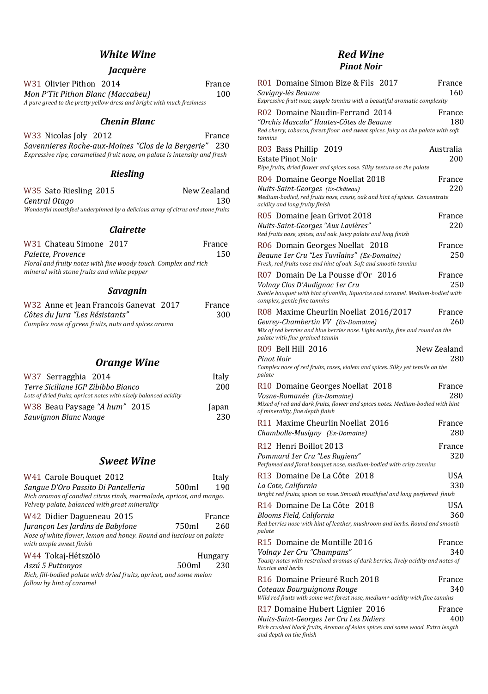# *White Wine*

## *Jacquère*

| W31 Olivier Pithon 2014                                                | France |
|------------------------------------------------------------------------|--------|
| Mon P'Tit Pithon Blanc (Maccabeu)                                      | 100    |
| A pure greed to the pretty yellow dress and bright with much freshness |        |

#### *Chenin Blanc*

W33 Nicolas Joly 2012 **France** *Savennieres Roche-aux-Moines "Clos de la Bergerie"* 230 *Expressive ripe, caramelised fruit nose, on palate is intensity and fresh* 

#### *Riesling*

| W35 Sato Riesling 2015 | New Zealand                                                                     |
|------------------------|---------------------------------------------------------------------------------|
| Central Otago          | 130                                                                             |
|                        | Wonderful mouthfeel underpinned by a delicious array of citrus and stone fruits |

#### *Clairette*

| W31 Chateau Simone 2017                    |                                                                 | France |
|--------------------------------------------|-----------------------------------------------------------------|--------|
| Palette, Provence                          |                                                                 | 150    |
| mineral with stone fruits and white pepper | Floral and fruity notes with fine woody touch. Complex and rich |        |

## *Savagnin*

| W32 Anne et Jean Francois Ganevat 2017              | France |
|-----------------------------------------------------|--------|
| Côtes du Jura "Les Résistants"                      | 300    |
| Complex nose of green fruits, nuts and spices aroma |        |

## *Orange Wine*

| W37 Serragghia 2014                                              | Italy |
|------------------------------------------------------------------|-------|
| Terre Siciliane IGP Zibibbo Bianco                               | 200   |
| Lots of dried fruits, apricot notes with nicely balanced acidity |       |
| W38 Beau Paysage "A hum" 2015                                    | Japan |
| Sauvignon Blanc Nuage                                            | 230   |

#### *Sweet Wine*

| W41 Carole Bouquet 2012                                                                                               |       | Italv   |
|-----------------------------------------------------------------------------------------------------------------------|-------|---------|
| Sangue D'Oro Passito Di Pantelleria                                                                                   | 500ml | 190     |
| Rich aromas of candied citrus rinds, marmalade, apricot, and mango.<br>Velvety palate, balanced with great minerality |       |         |
| W42 Didier Dagueneau 2015                                                                                             |       | France  |
| Jurançon Les Jardins de Babylone                                                                                      | 750ml | 260     |
| Nose of white flower, lemon and honey. Round and luscious on palate<br>with ample sweet finish                        |       |         |
| W44 Tokaj-Hétszölö                                                                                                    |       | Hungary |
| Aszú 5 Puttonyos                                                                                                      | 500ml | 230     |
| Rich, fill-bodied palate with dried fruits, apricot, and some melon<br>follow by hint of caramel                      |       |         |

## *Red Wine Pinot Noir*

| R01 Domaine Simon Bize & Fils 2017<br>Savigny-lès Beaune<br>Expressive fruit nose, supple tannins with a beautiful aromatic complexity                                                         | France<br>160      |
|------------------------------------------------------------------------------------------------------------------------------------------------------------------------------------------------|--------------------|
| R02 Domaine Naudin-Ferrand 2014<br>"Orchis Mascula" Hautes-Côtes de Beaune<br>Red cherry, tobacco, forest floor and sweet spices. Juicy on the palate with soft<br>tannins                     | France<br>180      |
| R03 Bass Phillip<br>2019<br><b>Estate Pinot Noir</b><br>Ripe fruits, dried flower and spices nose. Silky texture on the palate                                                                 | Australia<br>200   |
| R04 Domaine George Noellat 2018<br>Nuits-Saint-Georges (Ex-Château)<br>Medium-bodied, red fruits nose, cassis, oak and hint of spices. Concentrate<br>acidity and long fruity finish           | France<br>220      |
| R05 Domaine Jean Grivot 2018<br>Nuits-Saint-Georges "Aux Lavières"<br>Red fruits nose, spices, and oak. Juicy palate and long finish                                                           | France<br>220      |
| R06 Domain Georges Noellat 2018<br>Beaune 1er Cru "Les Tuvilains" (Ex-Domaine)<br>Fresh, red fruits nose and hint of oak. Soft and smooth tannins                                              | France<br>250      |
| R07 Domain De La Pousse d'Or 2016<br>Volnay Clos D'Audignac 1er Cru<br>Subtle bouquet with hint of vanilla, liquorice and caramel. Medium-bodied with<br>complex, gentle fine tannins          | France<br>250      |
| R08 Maxime Cheurlin Noellat 2016/2017<br>Gevrey-Chambertin VV (Ex-Domaine)<br>Mix of red berries and blue berries nose. Light earthy, fine and round on the<br>palate with fine-grained tannin | France<br>260      |
| R09 Bell Hill 2016<br>Pinot Noir<br>Complex nose of red fruits, roses, violets and spices. Silky yet tensile on the                                                                            | New Zealand<br>280 |
| palate<br>R10 Domaine Georges Noellat 2018<br>Vosne-Romanée (Ex-Domaine)<br>Mixed of red and dark fruits, flower and spices notes. Medium-bodied with hint<br>of minerality, fine depth finish | France<br>280      |
| R11 Maxime Cheurlin Noellat 2016<br>Chambolle-Musigny (Ex-Domaine)                                                                                                                             | France<br>280      |
| R12 Henri Boillot 2013<br>Pommard 1er Cru "Les Rugiens"<br>Perfumed and floral bouquet nose, medium-bodied with crisp tannins                                                                  | France<br>320      |
| R13 Domaine De La Côte<br>2018<br>La Cote, California<br>Bright red fruits, spices on nose. Smooth mouthfeel and long perfumed finish                                                          | USA<br>330         |
| R14 Domaine De La Côte<br>2018<br>Blooms Field, California<br>Red berries nose with hint of leather, mushroom and herbs. Round and smooth<br>palate                                            | USA<br>360         |
| R15 Domaine de Montille 2016<br>Volnay 1er Cru "Champans"<br>Toasty notes with restrained aromas of dark berries, lively acidity and notes of<br>licorice and herbs                            | France<br>340      |
| R16 Domaine Prieuré Roch 2018<br>Coteaux Bourguignons Rouge<br>Wild red fruits with some wet forest nose, medium+ acidity with fine tannins                                                    | France<br>340      |
| R17 Domaine Hubert Lignier 2016<br>Nuits-Saint-Georges 1er Cru Les Didiers<br>Rich crushed black fruits, Aromas of Asian spices and some wood. Extra length<br>and depth on the finish         | France<br>400      |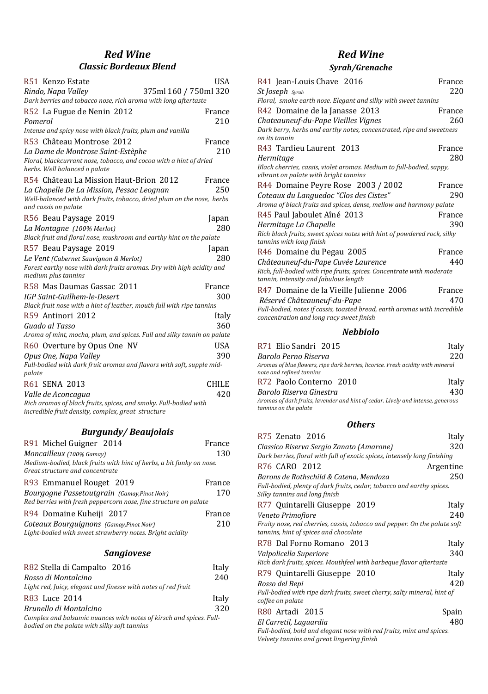# *Red Wine Classic Bordeaux Blend*

| R51 Kenzo Estate                                                                                    | USA                   |
|-----------------------------------------------------------------------------------------------------|-----------------------|
| Rindo, Napa Valley                                                                                  | 375ml 160 / 750ml 320 |
| Dark berries and tobacco nose, rich aroma with long aftertaste                                      |                       |
| R52 La Fugue de Nenin 2012                                                                          | France                |
| Pomerol                                                                                             | 210                   |
| Intense and spicy nose with black fruits, plum and vanilla                                          |                       |
| R53 Château Montrose 2012                                                                           | France                |
| La Dame de Montrose Saint-Estèphe                                                                   | 210                   |
| Floral, blackcurrant nose, tobacco, and cocoa with a hint of dried<br>herbs. Well balanced o palate |                       |
| R54 Château La Mission Haut-Brion 2012                                                              | France                |
| La Chapelle De La Mission, Pessac Leoanan                                                           | 250                   |
| Well-balanced with dark fruits, tobacco, dried plum on the nose, herbs<br>and cassis on palate      |                       |
| R56 Beau Paysage 2019                                                                               | Japan                 |
| La Montagne (100% Merlot)                                                                           | 280                   |
| Black fruit and floral nose, mushroom and earthy hint on the palate                                 |                       |
| R57 Beau Paysage 2019                                                                               | Japan                 |
| Le Vent (Cabernet Sauvignon & Merlot)                                                               | 280                   |
| Forest earthy nose with dark fruits aromas. Dry with high acidity and<br>medium plus tannins        |                       |
| R58 Mas Daumas Gassac 2011                                                                          | France                |
| <b>IGP Saint-Guilhem-le-Desert</b>                                                                  | 300                   |
| Black fruit nose with a hint of leather, mouth full with ripe tannins                               |                       |
| R59 Antinori 2012                                                                                   | Italy                 |
| Guado al Tasso                                                                                      | 360                   |
| Aroma of mint, mocha, plum, and spices. Full and silky tannin on palate                             |                       |
| R60 Overture by Opus One NV                                                                         | <b>USA</b>            |
| Opus One, Napa Valley                                                                               | 390                   |
| Full-bodied with dark fruit aromas and flavors with soft, supple mid-<br>palate                     |                       |
| R61 SENA 2013                                                                                       | <b>CHILE</b>          |
| Valle de Aconcaaua                                                                                  | 420                   |
| Rich aromas of black fruits, spices, and smoky. Full-bodied with                                    |                       |
| incredible fruit density, complex, great structure                                                  |                       |

# *Burgundy/ Beaujolais*

| R91 Michel Guigner 2014                                                                                          | France |
|------------------------------------------------------------------------------------------------------------------|--------|
| Moncailleux (100% Gamay)                                                                                         | 130    |
| Medium-bodied, black fruits with hint of herbs, a bit funky on nose.<br>Great structure and concentrate          |        |
| R93 Emmanuel Rouget 2019                                                                                         | France |
| Bourgogne Passetoutgrain (Gamay, Pinot Noir)<br>Red berries with fresh peppercorn nose, fine structure on palate | 170    |
| R94 Domaine Kuheiji 2017                                                                                         | France |
| Coteaux Bourguignons (Gamay,Pinot Noir)<br>Light-bodied with sweet strawberry notes. Bright acidity              | 210    |

## *Sangiovese*

| R82 Stella di Campalto 2016                                                                                         | Italy |
|---------------------------------------------------------------------------------------------------------------------|-------|
| Rosso di Montalcino                                                                                                 | 240   |
| Light red, Juicy, elegant and finesse with notes of red fruit                                                       |       |
| R83 Luce 2014                                                                                                       | Italy |
| Brunello di Montalcino                                                                                              | 320   |
| Complex and balsamic nuances with notes of kirsch and spices. Full-<br>bodied on the palate with silky soft tannins |       |

# *Red Wine*

# *Syrah/Grenache*

| R41 Jean-Louis Chave 2016                                                                                             | France |
|-----------------------------------------------------------------------------------------------------------------------|--------|
| St Joseph Syrah                                                                                                       | 220    |
| Floral, smoke earth nose. Elegant and silky with sweet tannins                                                        |        |
| R42 Domaine de la Janasse 2013                                                                                        | France |
| Chateauneuf-du-Pape Vieilles Vignes                                                                                   | 260    |
| Dark berry, herbs and earthy notes, concentrated, ripe and sweetness                                                  |        |
| on its tannin                                                                                                         |        |
| R43 Tardieu Laurent 2013                                                                                              | France |
| Hermitage                                                                                                             | 280    |
| Black cherries, cassis, violet aromas. Medium to full-bodied, sappy,<br>vibrant on palate with bright tannins         |        |
| R44 Domaine Peyre Rose 2003 / 2002                                                                                    | France |
| Coteaux du Languedoc "Clos des Cistes"                                                                                | 290    |
| Aroma of black fruits and spices, dense, mellow and harmony palate                                                    |        |
| R45 Paul Jaboulet Aîné 2013                                                                                           | France |
| Hermitage La Chapelle                                                                                                 | 390    |
| Rich black fruits, sweet spices notes with hint of powdered rock, silky<br>tannins with long finish                   |        |
| R46 Domaine du Pegau 2005                                                                                             | France |
| Châteauneuf-du-Pape Cuvée Laurence                                                                                    | 440    |
| Rich, full-bodied with ripe fruits, spices. Concentrate with moderate<br>tannin, intensity and fabulous length        |        |
| R47 Domaine de la Vieille Julienne 2006                                                                               | France |
| Réservé Châteauneuf-du-Pape                                                                                           | 470    |
| Full-bodied, notes if cassis, toasted bread, earth aromas with incredible<br>concentration and long racy sweet finish |        |

## *Nebbiolo*

| R71 Elio Sandri 2015                                                                                        | Italy |
|-------------------------------------------------------------------------------------------------------------|-------|
| Barolo Perno Riserva                                                                                        | 220   |
| Aromas of blue flowers, ripe dark berries, licorice. Fresh acidity with mineral<br>note and refined tannins |       |
| R72 Paolo Conterno 2010                                                                                     | Italy |
| Barolo Riserva Ginestra                                                                                     | 430   |
| Aromas of dark fruits, lavender and hint of cedar. Lively and intense, generous<br>tannins on the palate    |       |

## *Others*

| R75 Zenato 2016                                                                                                    | Italy     |
|--------------------------------------------------------------------------------------------------------------------|-----------|
| Classico Riserva Sergio Zanato (Amarone)                                                                           | 320       |
| Dark berries, floral with full of exotic spices, intensely long finishing                                          |           |
| R76 CARO 2012                                                                                                      | Argentine |
| Barons de Rothschild & Catena, Mendoza                                                                             | 250       |
| Full-bodied, plenty of dark fruits, cedar, tobacco and earthy spices.<br>Silky tannins and long finish             |           |
| R77 Quintarelli Giuseppe 2019                                                                                      | Italv     |
| Veneto Primofiore                                                                                                  | 240       |
| Fruity nose, red cherries, cassis, tobacco and pepper. On the palate soft<br>tannins, hint of spices and chocolate |           |
| R78 Dal Forno Romano 2013                                                                                          | Italy     |
| Valpolicella Superiore                                                                                             | 340       |
| Rich dark fruits, spices. Mouthfeel with barbeque flavor aftertaste                                                |           |
| R79 Quintarelli Giuseppe 2010                                                                                      | Italy     |
| Rosso del Bepi                                                                                                     | 420       |
| Full-bodied with ripe dark fruits, sweet cherry, salty mineral, hint of<br>coffee on palate                        |           |
| R80 Artadi 2015                                                                                                    | Spain     |
| El Carretil, Laguardia                                                                                             | 480       |
| Full-bodied, bold and elegant nose with red fruits, mint and spices.<br>Velvety tannins and great lingering finish |           |